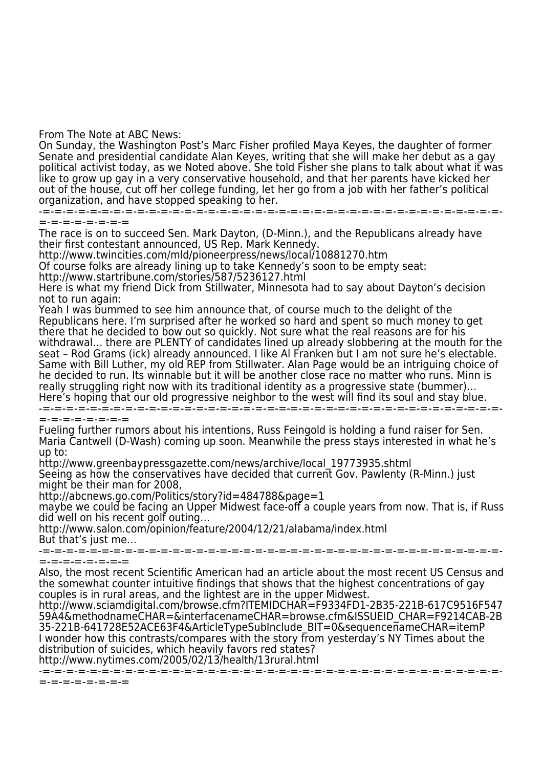From The Note at ABC News:

On Sunday, the Washington Post's Marc Fisher profiled Maya Keyes, the daughter of former Senate and presidential candidate Alan Keyes, writing that she will make her debut as a gay political activist today, as we Noted above. She told Fisher she plans to talk about what it was like to grow up gay in a very conservative household, and that her parents have kicked her out of the house, cut off her college funding, let her go from a job with her father's political organization, and have stopped speaking to her.

-=-=-=-=-=-=-=-=-=-=-=-=-=-=-=-=-=-=-=-=-=-=-=-=-=-=-=-=-=-=-=-=-=-=-=-=-=-=-=- =-=-=-=-=-=-=-=

The race is on to succeed Sen. Mark Dayton, (D-Minn.), and the Republicans already have their first contestant announced, US Rep. Mark Kennedy. http://www.twincities.com/mld/pioneerpress/news/local/10881270.htm Of course folks are already lining up to take Kennedy's soon to be empty seat: http://www.startribune.com/stories/587/5236127.html Here is what my friend Dick from Stillwater, Minnesota had to say about Dayton's decision not to run again: Yeah I was bummed to see him announce that, of course much to the delight of the Republicans here. I'm surprised after he worked so hard and spent so much money to get there that he decided to bow out so quickly. Not sure what the real reasons are for his withdrawal… there are PLENTY of candidates lined up already slobbering at the mouth for the seat – Rod Grams (ick) already announced. I like Al Franken but I am not sure he's electable. Same with Bill Luther, my old REP from Stillwater. Alan Page would be an intriguing choice of he decided to run. Its winnable but it will be another close race no matter who runs. Minn is really struggling right now with its traditional identity as a progressive state (bummer)… Here's hoping that our old progressive neighbor to the west will find its soul and stay blue. -=-=-=-=-=-=-=-=-=-=-=-=-=-=-=-=-=-=-=-=-=-=-=-=-=-=-=-=-=-=-=-=-=-=-=-=-=-=-=- =-=-=-=-=-=-=-= Fueling further rumors about his intentions, Russ Feingold is holding a fund raiser for Sen. Maria Cantwell (D-Wash) coming up soon. Meanwhile the press stays interested in what he's up to: http://www.greenbaypressgazette.com/news/archive/local\_19773935.shtml Seeing as how the conservatives have decided that current Gov. Pawlenty (R-Minn.) just might be their man for 2008, http://abcnews.go.com/Politics/story?id=484788&page=1 maybe we could be facing an Upper Midwest face-off a couple years from now. That is, if Russ did well on his recent golf outing… http://www.salon.com/opinion/feature/2004/12/21/alabama/index.html But that's just me… -=-=-=-=-=-=-=-=-=-=-=-=-=-=-=-=-=-=-=-=-=-=-=-=-=-=-=-=-=-=-=-=-=-=-=-=-=-=-=- =-=-=-=-=-=-=-= Also, the most recent Scientific American had an article about the most recent US Census and the somewhat counter intuitive findings that shows that the highest concentrations of gay couples is in rural areas, and the lightest are in the upper Midwest. http://www.sciamdigital.com/browse.cfm?ITEMIDCHAR=F9334FD1-2B35-221B-617C9516F547 59A4&methodnameCHAR=&interfacenameCHAR=browse.cfm&ISSUEID\_CHAR=F9214CAB-2B

35-221B-641728E52ACE63F4&ArticleTypeSubInclude\_BIT=0&sequencenameCHAR=itemP I wonder how this contrasts/compares with the story from yesterday's NY Times about the distribution of suicides, which heavily favors red states?

http://www.nytimes.com/2005/02/13/health/13rural.html -=-=-=-=-=-=-=-=-=-=-=-=-=-=-=-=-=-=-=-=-=-=-=-=-=-=-=-=-=-=-=-=-=-=-=-=-=-=-=-

=-=-=-=-=-=-=-=